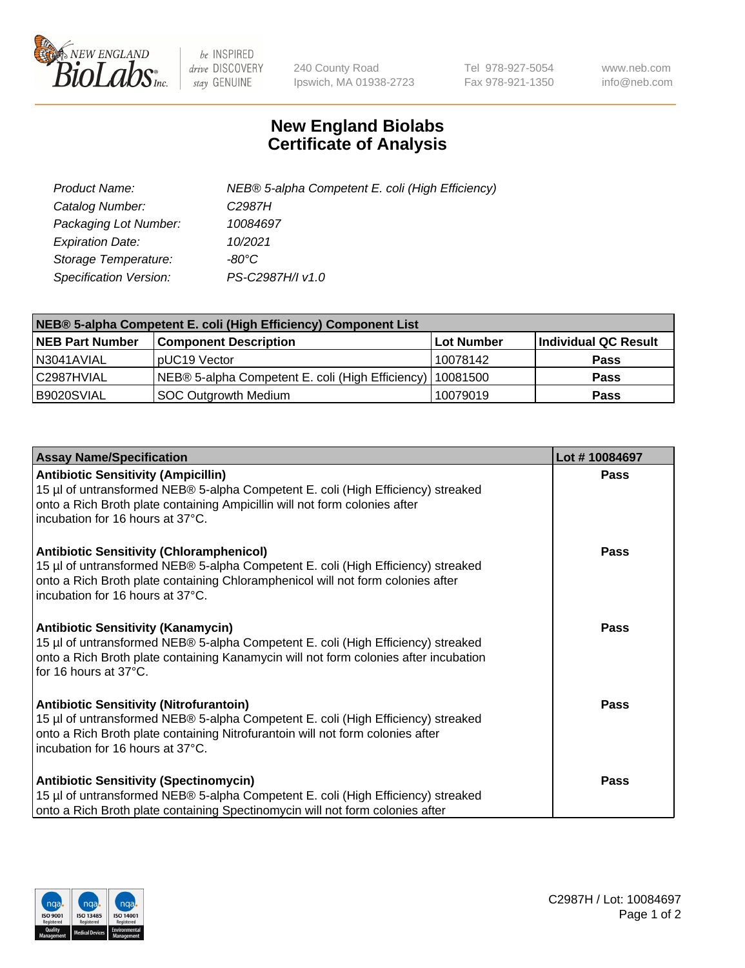

 $be$  INSPIRED drive DISCOVERY stay GENUINE

240 County Road Ipswich, MA 01938-2723 Tel 978-927-5054 Fax 978-921-1350 www.neb.com info@neb.com

## **New England Biolabs Certificate of Analysis**

| Product Name:           | NEB® 5-alpha Competent E. coli (High Efficiency) |
|-------------------------|--------------------------------------------------|
| Catalog Number:         | C <sub>2987</sub> H                              |
| Packaging Lot Number:   | 10084697                                         |
| <b>Expiration Date:</b> | 10/2021                                          |
| Storage Temperature:    | -80°C                                            |
| Specification Version:  | PS-C2987H/I v1.0                                 |

| NEB® 5-alpha Competent E. coli (High Efficiency) Component List |                                                  |            |                      |  |
|-----------------------------------------------------------------|--------------------------------------------------|------------|----------------------|--|
| <b>NEB Part Number</b>                                          | <b>Component Description</b>                     | Lot Number | Individual QC Result |  |
| N3041AVIAL                                                      | pUC19 Vector                                     | 10078142   | <b>Pass</b>          |  |
| C2987HVIAL                                                      | NEB® 5-alpha Competent E. coli (High Efficiency) | 10081500   | <b>Pass</b>          |  |
| B9020SVIAL                                                      | <b>SOC Outgrowth Medium</b>                      | 10079019   | <b>Pass</b>          |  |

| <b>Assay Name/Specification</b>                                                                                                                                                                                                                            | Lot #10084697 |
|------------------------------------------------------------------------------------------------------------------------------------------------------------------------------------------------------------------------------------------------------------|---------------|
| <b>Antibiotic Sensitivity (Ampicillin)</b><br>15 µl of untransformed NEB® 5-alpha Competent E. coli (High Efficiency) streaked<br>onto a Rich Broth plate containing Ampicillin will not form colonies after<br>incubation for 16 hours at 37°C.           | <b>Pass</b>   |
| <b>Antibiotic Sensitivity (Chloramphenicol)</b><br>15 µl of untransformed NEB® 5-alpha Competent E. coli (High Efficiency) streaked<br>onto a Rich Broth plate containing Chloramphenicol will not form colonies after<br>incubation for 16 hours at 37°C. | Pass          |
| Antibiotic Sensitivity (Kanamycin)<br>15 µl of untransformed NEB® 5-alpha Competent E. coli (High Efficiency) streaked<br>onto a Rich Broth plate containing Kanamycin will not form colonies after incubation<br>for 16 hours at 37°C.                    | Pass          |
| <b>Antibiotic Sensitivity (Nitrofurantoin)</b><br>15 µl of untransformed NEB® 5-alpha Competent E. coli (High Efficiency) streaked<br>onto a Rich Broth plate containing Nitrofurantoin will not form colonies after<br>incubation for 16 hours at 37°C.   | <b>Pass</b>   |
| <b>Antibiotic Sensitivity (Spectinomycin)</b><br>15 µl of untransformed NEB® 5-alpha Competent E. coli (High Efficiency) streaked<br>onto a Rich Broth plate containing Spectinomycin will not form colonies after                                         | Pass          |